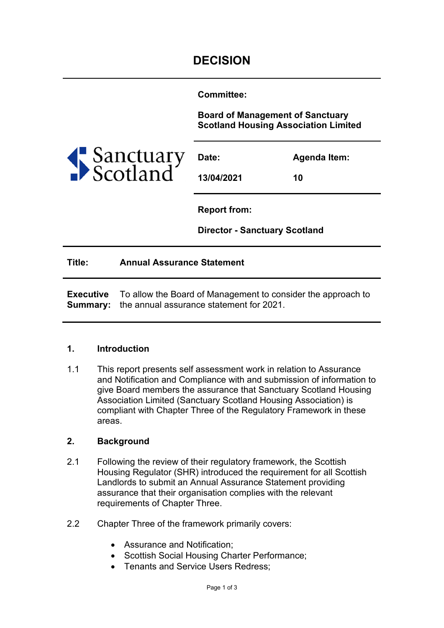**Committee:** 

**Board of Management of Sanctuary Scotland Housing Association Limited**



| Date:      |  |
|------------|--|
| 13/04/2021 |  |

**Agenda Item:** 

**10**

**Report from:** 

**Director - Sanctuary Scotland**

**Title: Annual Assurance Statement**

**Executive**  To allow the Board of Management to consider the approach to **Summary:**  the annual assurance statement for 2021.

#### **1. Introduction**

1.1 This report presents self assessment work in relation to Assurance and Notification and Compliance with and submission of information to give Board members the assurance that Sanctuary Scotland Housing Association Limited (Sanctuary Scotland Housing Association) is compliant with Chapter Three of the Regulatory Framework in these areas.

## **2. Background**

- 2.1 Following the review of their regulatory framework, the Scottish Housing Regulator (SHR) introduced the requirement for all Scottish Landlords to submit an Annual Assurance Statement providing assurance that their organisation complies with the relevant requirements of Chapter Three.
- 2.2 Chapter Three of the framework primarily covers:
	- Assurance and Notification;
	- Scottish Social Housing Charter Performance;
	- Tenants and Service Users Redress;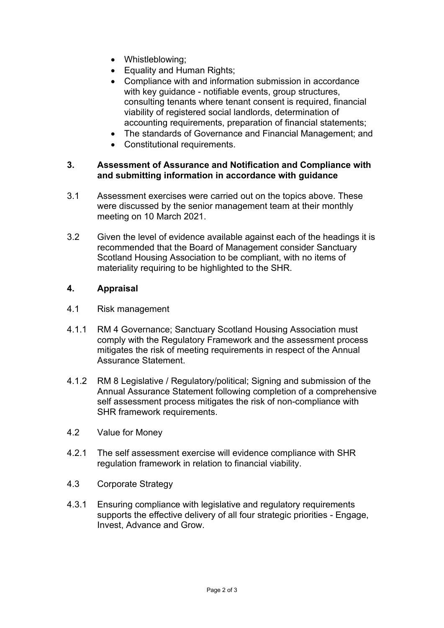- Whistleblowing;
- Equality and Human Rights;
- Compliance with and information submission in accordance with key guidance - notifiable events, group structures, consulting tenants where tenant consent is required, financial viability of registered social landlords, determination of accounting requirements, preparation of financial statements;
- The standards of Governance and Financial Management; and
- Constitutional requirements.

#### **3. Assessment of Assurance and Notification and Compliance with and submitting information in accordance with guidance**

- 3.1 Assessment exercises were carried out on the topics above. These were discussed by the senior management team at their monthly meeting on 10 March 2021.
- 3.2 Given the level of evidence available against each of the headings it is recommended that the Board of Management consider Sanctuary Scotland Housing Association to be compliant, with no items of materiality requiring to be highlighted to the SHR.

### **4. Appraisal**

- 4.1 Risk management
- 4.1.1 RM 4 Governance; Sanctuary Scotland Housing Association must comply with the Regulatory Framework and the assessment process mitigates the risk of meeting requirements in respect of the Annual Assurance Statement.
- 4.1.2 RM 8 Legislative / Regulatory/political; Signing and submission of the Annual Assurance Statement following completion of a comprehensive self assessment process mitigates the risk of non-compliance with SHR framework requirements.
- 4.2 Value for Money
- 4.2.1 The self assessment exercise will evidence compliance with SHR regulation framework in relation to financial viability.
- 4.3 Corporate Strategy
- 4.3.1 Ensuring compliance with legislative and regulatory requirements supports the effective delivery of all four strategic priorities - Engage, Invest, Advance and Grow.